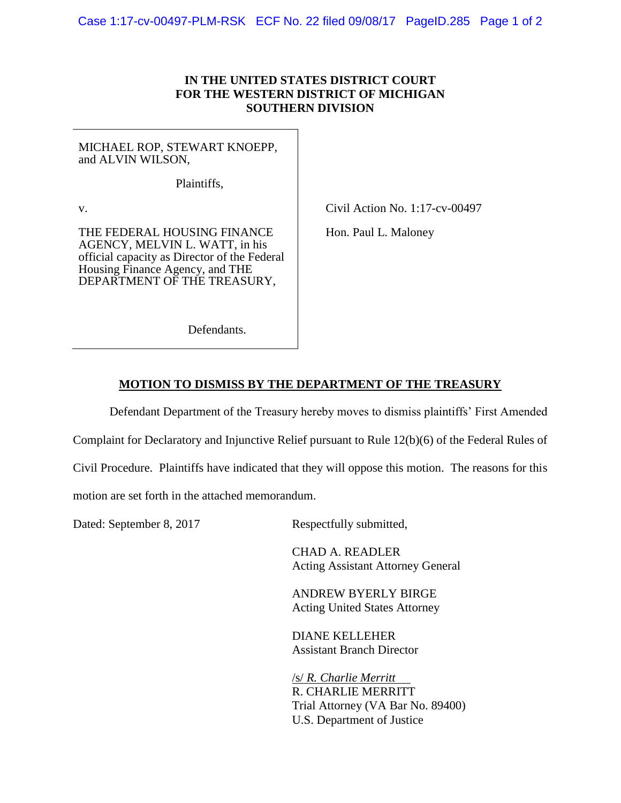## **IN THE UNITED STATES DISTRICT COURT FOR THE WESTERN DISTRICT OF MICHIGAN SOUTHERN DIVISION**

MICHAEL ROP, STEWART KNOEPP, and ALVIN WILSON,

Plaintiffs,

v.

THE FEDERAL HOUSING FINANCE AGENCY, MELVIN L. WATT, in his official capacity as Director of the Federal Housing Finance Agency, and THE DEPARTMENT OF THE TREASURY,

Civil Action No. 1:17-cv-00497

Hon. Paul L. Maloney

Defendants.

## **MOTION TO DISMISS BY THE DEPARTMENT OF THE TREASURY**

Defendant Department of the Treasury hereby moves to dismiss plaintiffs' First Amended

Complaint for Declaratory and Injunctive Relief pursuant to Rule 12(b)(6) of the Federal Rules of

Civil Procedure. Plaintiffs have indicated that they will oppose this motion. The reasons for this

motion are set forth in the attached memorandum.

Dated: September 8, 2017 Respectfully submitted,

CHAD A. READLER Acting Assistant Attorney General

ANDREW BYERLY BIRGE Acting United States Attorney

DIANE KELLEHER Assistant Branch Director

/s/ *R. Charlie Merritt* R. CHARLIE MERRITT Trial Attorney (VA Bar No. 89400) U.S. Department of Justice